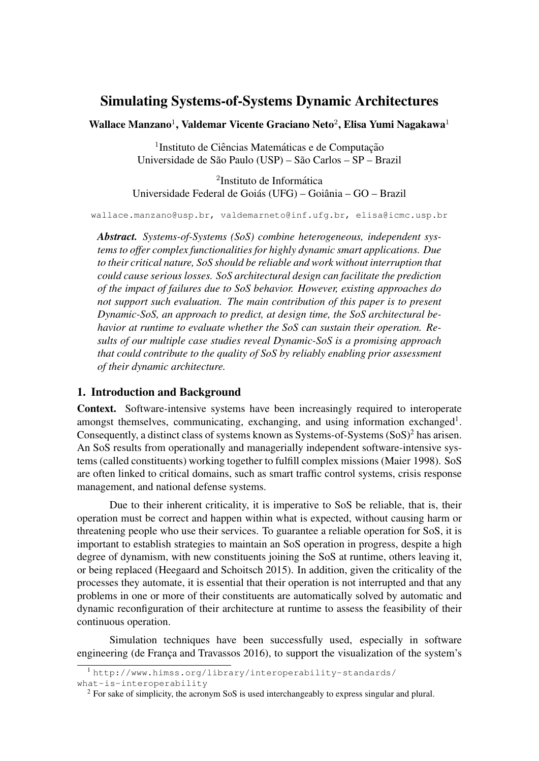# Simulating Systems-of-Systems Dynamic Architectures

Wallace Manzano<sup>1</sup>, Valdemar Vicente Graciano Neto<sup>2</sup>, Elisa Yumi Nagakawa<sup>1</sup>

<sup>1</sup> Instituto de Ciências Matemáticas e de Computação Universidade de São Paulo (USP) – São Carlos – SP – Brazil

<sup>2</sup>Instituto de Informática Universidade Federal de Goiás (UFG) – Goiânia – GO – Brazil

wallace.manzano@usp.br, valdemarneto@inf.ufg.br, elisa@icmc.usp.br

*Abstract. Systems-of-Systems (SoS) combine heterogeneous, independent systems to offer complex functionalities for highly dynamic smart applications. Due to their critical nature, SoS should be reliable and work without interruption that could cause serious losses. SoS architectural design can facilitate the prediction of the impact of failures due to SoS behavior. However, existing approaches do not support such evaluation. The main contribution of this paper is to present Dynamic-SoS, an approach to predict, at design time, the SoS architectural behavior at runtime to evaluate whether the SoS can sustain their operation. Results of our multiple case studies reveal Dynamic-SoS is a promising approach that could contribute to the quality of SoS by reliably enabling prior assessment of their dynamic architecture.*

#### 1. Introduction and Background

Context. Software-intensive systems have been increasingly required to interoperate amongst themselves, communicating, exchanging, and using information exchanged<sup>1</sup>. Consequently, a distinct class of systems known as Systems-of-Systems  $(SoS)^2$  has arisen. An SoS results from operationally and managerially independent software-intensive systems (called constituents) working together to fulfill complex missions (Maier 1998). SoS are often linked to critical domains, such as smart traffic control systems, crisis response management, and national defense systems.

Due to their inherent criticality, it is imperative to SoS be reliable, that is, their operation must be correct and happen within what is expected, without causing harm or threatening people who use their services. To guarantee a reliable operation for SoS, it is important to establish strategies to maintain an SoS operation in progress, despite a high degree of dynamism, with new constituents joining the SoS at runtime, others leaving it, or being replaced (Heegaard and Schoitsch 2015). In addition, given the criticality of the processes they automate, it is essential that their operation is not interrupted and that any problems in one or more of their constituents are automatically solved by automatic and dynamic reconfiguration of their architecture at runtime to assess the feasibility of their continuous operation.

Simulation techniques have been successfully used, especially in software engineering (de França and Travassos 2016), to support the visualization of the system's

<sup>1</sup> http://www.himss.org/library/interoperability-standards/

what-is-interoperability

<sup>2</sup> For sake of simplicity, the acronym SoS is used interchangeably to express singular and plural.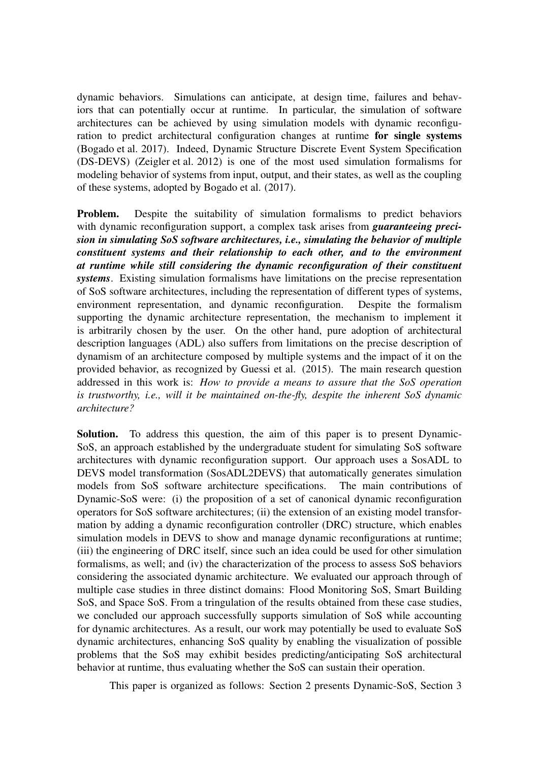dynamic behaviors. Simulations can anticipate, at design time, failures and behaviors that can potentially occur at runtime. In particular, the simulation of software architectures can be achieved by using simulation models with dynamic reconfiguration to predict architectural configuration changes at runtime for single systems (Bogado et al. 2017). Indeed, Dynamic Structure Discrete Event System Specification (DS-DEVS) (Zeigler et al. 2012) is one of the most used simulation formalisms for modeling behavior of systems from input, output, and their states, as well as the coupling of these systems, adopted by Bogado et al. (2017).

Problem. Despite the suitability of simulation formalisms to predict behaviors with dynamic reconfiguration support, a complex task arises from *guaranteeing precision in simulating SoS software architectures, i.e., simulating the behavior of multiple constituent systems and their relationship to each other, and to the environment at runtime while still considering the dynamic reconfiguration of their constituent systems*. Existing simulation formalisms have limitations on the precise representation of SoS software architectures, including the representation of different types of systems, environment representation, and dynamic reconfiguration. Despite the formalism supporting the dynamic architecture representation, the mechanism to implement it is arbitrarily chosen by the user. On the other hand, pure adoption of architectural description languages (ADL) also suffers from limitations on the precise description of dynamism of an architecture composed by multiple systems and the impact of it on the provided behavior, as recognized by Guessi et al. (2015). The main research question addressed in this work is: *How to provide a means to assure that the SoS operation is trustworthy, i.e., will it be maintained on-the-fly, despite the inherent SoS dynamic architecture?*

Solution. To address this question, the aim of this paper is to present Dynamic-SoS, an approach established by the undergraduate student for simulating SoS software architectures with dynamic reconfiguration support. Our approach uses a SosADL to DEVS model transformation (SosADL2DEVS) that automatically generates simulation models from SoS software architecture specifications. The main contributions of Dynamic-SoS were: (i) the proposition of a set of canonical dynamic reconfiguration operators for SoS software architectures; (ii) the extension of an existing model transformation by adding a dynamic reconfiguration controller (DRC) structure, which enables simulation models in DEVS to show and manage dynamic reconfigurations at runtime; (iii) the engineering of DRC itself, since such an idea could be used for other simulation formalisms, as well; and (iv) the characterization of the process to assess SoS behaviors considering the associated dynamic architecture. We evaluated our approach through of multiple case studies in three distinct domains: Flood Monitoring SoS, Smart Building SoS, and Space SoS. From a tringulation of the results obtained from these case studies, we concluded our approach successfully supports simulation of SoS while accounting for dynamic architectures. As a result, our work may potentially be used to evaluate SoS dynamic architectures, enhancing SoS quality by enabling the visualization of possible problems that the SoS may exhibit besides predicting/anticipating SoS architectural behavior at runtime, thus evaluating whether the SoS can sustain their operation.

This paper is organized as follows: Section 2 presents Dynamic-SoS, Section 3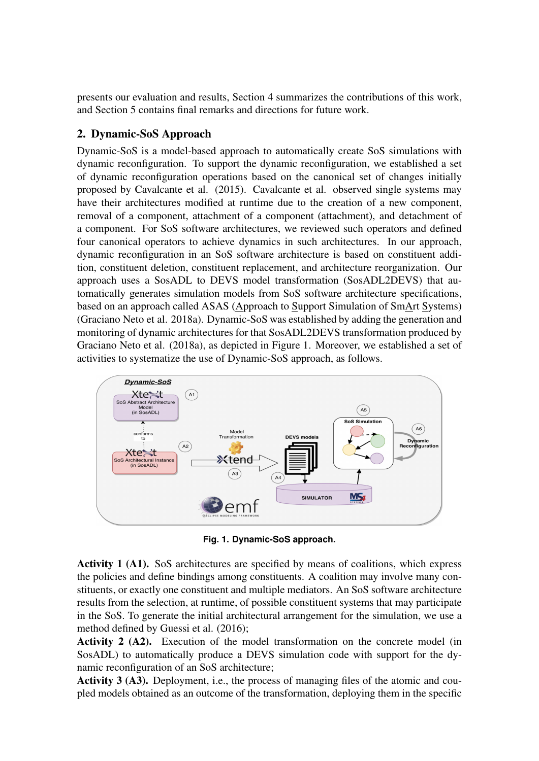presents our evaluation and results, Section 4 summarizes the contributions of this work, and Section 5 contains final remarks and directions for future work.

## 2. Dynamic-SoS Approach

Dynamic-SoS is a model-based approach to automatically create SoS simulations with dynamic reconfiguration. To support the dynamic reconfiguration, we established a set of dynamic reconfiguration operations based on the canonical set of changes initially proposed by Cavalcante et al. (2015). Cavalcante et al. observed single systems may have their architectures modified at runtime due to the creation of a new component, removal of a component, attachment of a component (attachment), and detachment of a component. For SoS software architectures, we reviewed such operators and defined four canonical operators to achieve dynamics in such architectures. In our approach, dynamic reconfiguration in an SoS software architecture is based on constituent addition, constituent deletion, constituent replacement, and architecture reorganization. Our approach uses a SosADL to DEVS model transformation (SosADL2DEVS) that automatically generates simulation models from SoS software architecture specifications, based on an approach called ASAS (Approach to Support Simulation of SmArt Systems) (Graciano Neto et al. 2018a). Dynamic-SoS was established by adding the generation and monitoring of dynamic architectures for that SosADL2DEVS transformation produced by Graciano Neto et al. (2018a), as depicted in Figure 1. Moreover, we established a set of activities to systematize the use of Dynamic-SoS approach, as follows.



**Fig. 1. Dynamic-SoS approach.**

Activity 1 (A1). SoS architectures are specified by means of coalitions, which express the policies and define bindings among constituents. A coalition may involve many constituents, or exactly one constituent and multiple mediators. An SoS software architecture results from the selection, at runtime, of possible constituent systems that may participate in the SoS. To generate the initial architectural arrangement for the simulation, we use a method defined by Guessi et al. (2016);

Activity 2 (A2). Execution of the model transformation on the concrete model (in SosADL) to automatically produce a DEVS simulation code with support for the dynamic reconfiguration of an SoS architecture;

Activity 3 (A3). Deployment, i.e., the process of managing files of the atomic and coupled models obtained as an outcome of the transformation, deploying them in the specific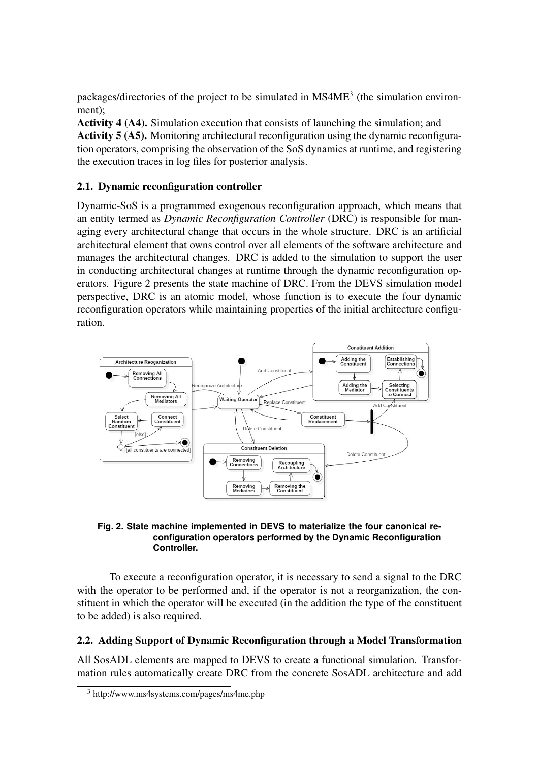packages/directories of the project to be simulated in  $MS4ME<sup>3</sup>$  (the simulation environment);

Activity 4 (A4). Simulation execution that consists of launching the simulation; and Activity 5 (A5). Monitoring architectural reconfiguration using the dynamic reconfiguration operators, comprising the observation of the SoS dynamics at runtime, and registering the execution traces in log files for posterior analysis.

## 2.1. Dynamic reconfiguration controller

Dynamic-SoS is a programmed exogenous reconfiguration approach, which means that an entity termed as *Dynamic Reconfiguration Controller* (DRC) is responsible for managing every architectural change that occurs in the whole structure. DRC is an artificial architectural element that owns control over all elements of the software architecture and manages the architectural changes. DRC is added to the simulation to support the user in conducting architectural changes at runtime through the dynamic reconfiguration operators. Figure 2 presents the state machine of DRC. From the DEVS simulation model perspective, DRC is an atomic model, whose function is to execute the four dynamic reconfiguration operators while maintaining properties of the initial architecture configuration.



#### **Fig. 2. State machine implemented in DEVS to materialize the four canonical reconfiguration operators performed by the Dynamic Reconfiguration Controller.**

To execute a reconfiguration operator, it is necessary to send a signal to the DRC with the operator to be performed and, if the operator is not a reorganization, the constituent in which the operator will be executed (in the addition the type of the constituent to be added) is also required.

## 2.2. Adding Support of Dynamic Reconfiguration through a Model Transformation

All SosADL elements are mapped to DEVS to create a functional simulation. Transformation rules automatically create DRC from the concrete SosADL architecture and add

<sup>3</sup> http://www.ms4systems.com/pages/ms4me.php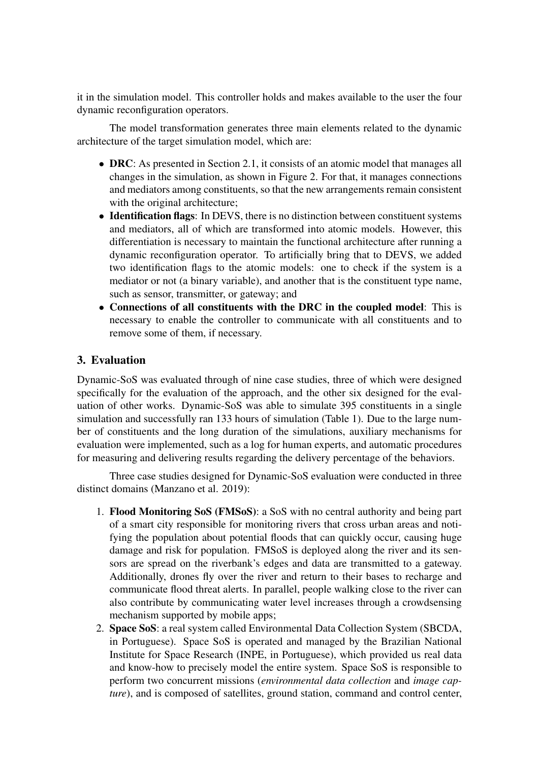it in the simulation model. This controller holds and makes available to the user the four dynamic reconfiguration operators.

The model transformation generates three main elements related to the dynamic architecture of the target simulation model, which are:

- **DRC**: As presented in Section 2.1, it consists of an atomic model that manages all changes in the simulation, as shown in Figure 2. For that, it manages connections and mediators among constituents, so that the new arrangements remain consistent with the original architecture;
- Identification flags: In DEVS, there is no distinction between constituent systems and mediators, all of which are transformed into atomic models. However, this differentiation is necessary to maintain the functional architecture after running a dynamic reconfiguration operator. To artificially bring that to DEVS, we added two identification flags to the atomic models: one to check if the system is a mediator or not (a binary variable), and another that is the constituent type name, such as sensor, transmitter, or gateway; and
- Connections of all constituents with the DRC in the coupled model: This is necessary to enable the controller to communicate with all constituents and to remove some of them, if necessary.

#### 3. Evaluation

Dynamic-SoS was evaluated through of nine case studies, three of which were designed specifically for the evaluation of the approach, and the other six designed for the evaluation of other works. Dynamic-SoS was able to simulate 395 constituents in a single simulation and successfully ran 133 hours of simulation (Table 1). Due to the large number of constituents and the long duration of the simulations, auxiliary mechanisms for evaluation were implemented, such as a log for human experts, and automatic procedures for measuring and delivering results regarding the delivery percentage of the behaviors.

Three case studies designed for Dynamic-SoS evaluation were conducted in three distinct domains (Manzano et al. 2019):

- 1. Flood Monitoring SoS (FMSoS): a SoS with no central authority and being part of a smart city responsible for monitoring rivers that cross urban areas and notifying the population about potential floods that can quickly occur, causing huge damage and risk for population. FMSoS is deployed along the river and its sensors are spread on the riverbank's edges and data are transmitted to a gateway. Additionally, drones fly over the river and return to their bases to recharge and communicate flood threat alerts. In parallel, people walking close to the river can also contribute by communicating water level increases through a crowdsensing mechanism supported by mobile apps;
- 2. Space SoS: a real system called Environmental Data Collection System (SBCDA, in Portuguese). Space SoS is operated and managed by the Brazilian National Institute for Space Research (INPE, in Portuguese), which provided us real data and know-how to precisely model the entire system. Space SoS is responsible to perform two concurrent missions (*environmental data collection* and *image capture*), and is composed of satellites, ground station, command and control center,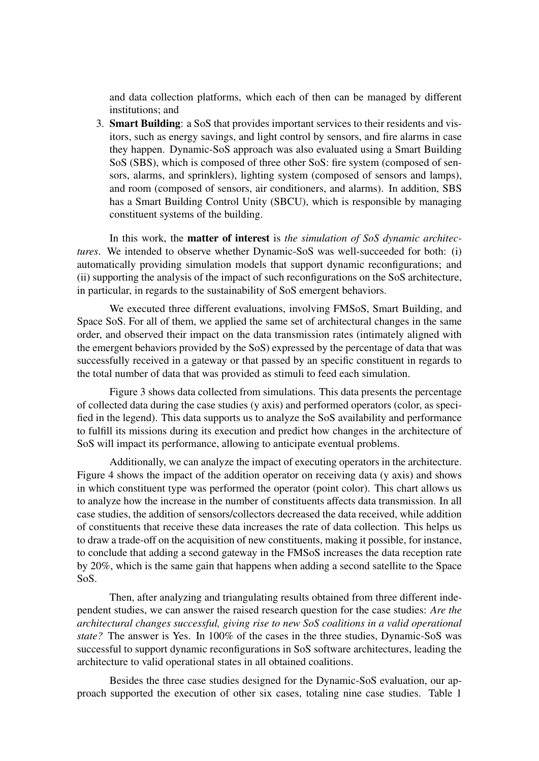and data collection platforms, which each of then can be managed by different institutions; and

3. Smart Building: a SoS that provides important services to their residents and visitors, such as energy savings, and light control by sensors, and fire alarms in case they happen. Dynamic-SoS approach was also evaluated using a Smart Building SoS (SBS), which is composed of three other SoS: fire system (composed of sensors, alarms, and sprinklers), lighting system (composed of sensors and lamps), and room (composed of sensors, air conditioners, and alarms). In addition, SBS has a Smart Building Control Unity (SBCU), which is responsible by managing constituent systems of the building.

In this work, the matter of interest is *the simulation of SoS dynamic architectures*. We intended to observe whether Dynamic-SoS was well-succeeded for both: (i) automatically providing simulation models that support dynamic reconfigurations; and (ii) supporting the analysis of the impact of such reconfigurations on the SoS architecture, in particular, in regards to the sustainability of SoS emergent behaviors.

We executed three different evaluations, involving FMSoS, Smart Building, and Space SoS. For all of them, we applied the same set of architectural changes in the same order, and observed their impact on the data transmission rates (intimately aligned with the emergent behaviors provided by the SoS) expressed by the percentage of data that was successfully received in a gateway or that passed by an specific constituent in regards to the total number of data that was provided as stimuli to feed each simulation.

Figure 3 shows data collected from simulations. This data presents the percentage of collected data during the case studies (y axis) and performed operators (color, as specified in the legend). This data supports us to analyze the SoS availability and performance to fulfill its missions during its execution and predict how changes in the architecture of SoS will impact its performance, allowing to anticipate eventual problems.

Additionally, we can analyze the impact of executing operators in the architecture. Figure 4 shows the impact of the addition operator on receiving data (y axis) and shows in which constituent type was performed the operator (point color). This chart allows us to analyze how the increase in the number of constituents affects data transmission. In all case studies, the addition of sensors/collectors decreased the data received, while addition of constituents that receive these data increases the rate of data collection. This helps us to draw a trade-off on the acquisition of new constituents, making it possible, for instance, to conclude that adding a second gateway in the FMSoS increases the data reception rate by 20%, which is the same gain that happens when adding a second satellite to the Space SoS.

Then, after analyzing and triangulating results obtained from three different independent studies, we can answer the raised research question for the case studies: *Are the architectural changes successful, giving rise to new SoS coalitions in a valid operational state?* The answer is Yes. In 100% of the cases in the three studies, Dynamic-SoS was successful to support dynamic reconfigurations in SoS software architectures, leading the architecture to valid operational states in all obtained coalitions.

Besides the three case studies designed for the Dynamic-SoS evaluation, our approach supported the execution of other six cases, totaling nine case studies. Table 1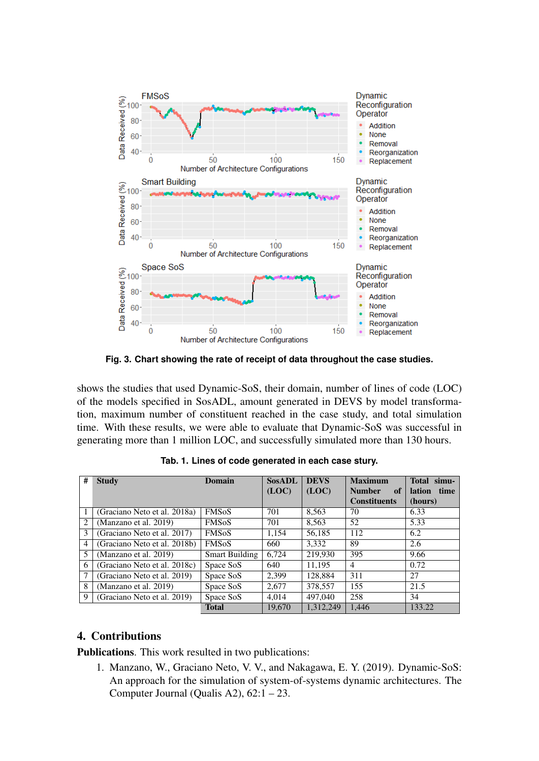

**Fig. 3. Chart showing the rate of receipt of data throughout the case studies.**

shows the studies that used Dynamic-SoS, their domain, number of lines of code (LOC) of the models specified in SosADL, amount generated in DEVS by model transformation, maximum number of constituent reached in the case study, and total simulation time. With these results, we were able to evaluate that Dynamic-SoS was successful in generating more than 1 million LOC, and successfully simulated more than 130 hours.

| #              | <b>Study</b>                 | <b>Domain</b>           | <b>SosADL</b> | <b>DEVS</b> | <b>Maximum</b>      | Total simu-           |
|----------------|------------------------------|-------------------------|---------------|-------------|---------------------|-----------------------|
|                |                              |                         | (LOC)         | (LOC)       | <b>Number</b><br>of | <b>lation</b><br>time |
|                |                              |                         |               |             | <b>Constituents</b> | (hours)               |
|                | (Graciano Neto et al. 2018a) | <b>FMSoS</b>            | 701           | 8,563       | 70                  | 6.33                  |
| $\overline{c}$ | (Manzano et al. 2019)        | <b>FMSoS</b>            | 701           | 8.563       | 52                  | 5.33                  |
| 3              | (Graciano Neto et al. 2017)  | <b>FMSoS</b>            | 1.154         | 56.185      | 112                 | 6.2                   |
| $\overline{4}$ | (Graciano Neto et al. 2018b) | <b>FMS<sub>o</sub>S</b> | 660           | 3,332       | 89                  | 2.6                   |
| 5              | (Manzano et al. 2019)        | <b>Smart Building</b>   | 6.724         | 219,930     | 395                 | 9.66                  |
| 6              | (Graciano Neto et al. 2018c) | Space SoS               | 640           | 11,195      | $\overline{4}$      | 0.72                  |
|                | (Graciano Neto et al. 2019)  | Space SoS               | 2.399         | 128,884     | 311                 | 27                    |
| 8              | (Manzano et al. 2019)        | Space SoS               | 2,677         | 378,557     | 155                 | 21.5                  |
| 9              | (Graciano Neto et al. 2019)  | Space SoS               | 4.014         | 497,040     | 258                 | 34                    |
|                |                              | <b>Total</b>            | 19,670        | 1,312,249   | 1.446               | 133.22                |

**Tab. 1. Lines of code generated in each case stury.**

## 4. Contributions

Publications. This work resulted in two publications:

1. Manzano, W., Graciano Neto, V. V., and Nakagawa, E. Y. (2019). Dynamic-SoS: An approach for the simulation of system-of-systems dynamic architectures. The Computer Journal (Qualis A2),  $62:1 - 23$ .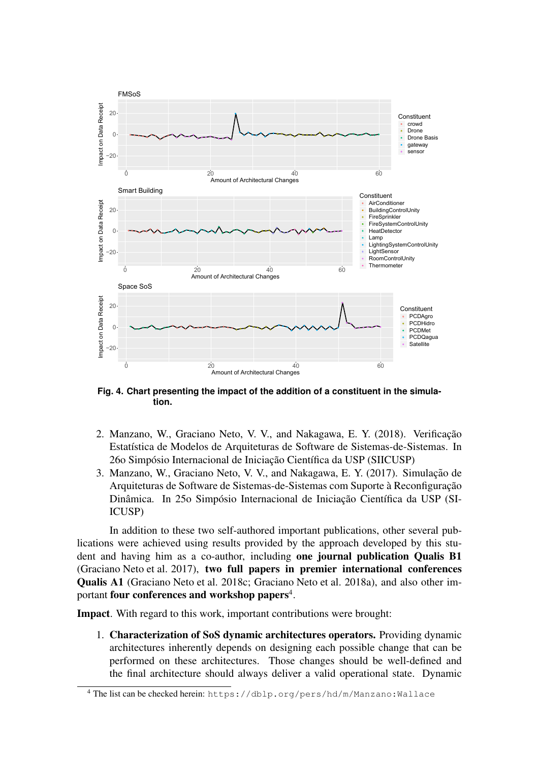

**Fig. 4. Chart presenting the impact of the addition of a constituent in the simulation.**

- 2. Manzano, W., Graciano Neto, V. V., and Nakagawa, E. Y. (2018). Verificação Estatística de Modelos de Arquiteturas de Software de Sistemas-de-Sistemas. In 26o Simpósio Internacional de Iniciação Científica da USP (SIICUSP)
- 3. Manzano, W., Graciano Neto, V. V., and Nakagawa, E. Y. (2017). Simulação de Arquiteturas de Software de Sistemas-de-Sistemas com Suporte à Reconfiguração Dinâmica. In 250 Simpósio Internacional de Iniciação Científica da USP (SI-ICUSP)

In addition to these two self-authored important publications, other several publications were achieved using results provided by the approach developed by this student and having him as a co-author, including one journal publication Qualis B1 (Graciano Neto et al. 2017), two full papers in premier international conferences Qualis A1 (Graciano Neto et al. 2018c; Graciano Neto et al. 2018a), and also other important **four conferences and workshop papers**<sup>4</sup>.

Impact. With regard to this work, important contributions were brought:

1. Characterization of SoS dynamic architectures operators. Providing dynamic architectures inherently depends on designing each possible change that can be performed on these architectures. Those changes should be well-defined and the final architecture should always deliver a valid operational state. Dynamic

<sup>4</sup> The list can be checked herein: https://dblp.org/pers/hd/m/Manzano:Wallace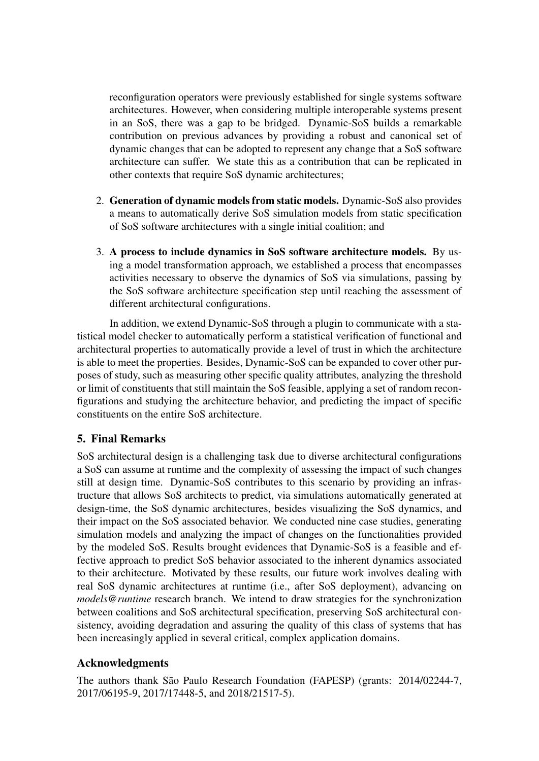reconfiguration operators were previously established for single systems software architectures. However, when considering multiple interoperable systems present in an SoS, there was a gap to be bridged. Dynamic-SoS builds a remarkable contribution on previous advances by providing a robust and canonical set of dynamic changes that can be adopted to represent any change that a SoS software architecture can suffer. We state this as a contribution that can be replicated in other contexts that require SoS dynamic architectures;

- 2. Generation of dynamic models from static models. Dynamic-SoS also provides a means to automatically derive SoS simulation models from static specification of SoS software architectures with a single initial coalition; and
- 3. A process to include dynamics in SoS software architecture models. By using a model transformation approach, we established a process that encompasses activities necessary to observe the dynamics of SoS via simulations, passing by the SoS software architecture specification step until reaching the assessment of different architectural configurations.

In addition, we extend Dynamic-SoS through a plugin to communicate with a statistical model checker to automatically perform a statistical verification of functional and architectural properties to automatically provide a level of trust in which the architecture is able to meet the properties. Besides, Dynamic-SoS can be expanded to cover other purposes of study, such as measuring other specific quality attributes, analyzing the threshold or limit of constituents that still maintain the SoS feasible, applying a set of random reconfigurations and studying the architecture behavior, and predicting the impact of specific constituents on the entire SoS architecture.

## 5. Final Remarks

SoS architectural design is a challenging task due to diverse architectural configurations a SoS can assume at runtime and the complexity of assessing the impact of such changes still at design time. Dynamic-SoS contributes to this scenario by providing an infrastructure that allows SoS architects to predict, via simulations automatically generated at design-time, the SoS dynamic architectures, besides visualizing the SoS dynamics, and their impact on the SoS associated behavior. We conducted nine case studies, generating simulation models and analyzing the impact of changes on the functionalities provided by the modeled SoS. Results brought evidences that Dynamic-SoS is a feasible and effective approach to predict SoS behavior associated to the inherent dynamics associated to their architecture. Motivated by these results, our future work involves dealing with real SoS dynamic architectures at runtime (i.e., after SoS deployment), advancing on *models@runtime* research branch. We intend to draw strategies for the synchronization between coalitions and SoS architectural specification, preserving SoS architectural consistency, avoiding degradation and assuring the quality of this class of systems that has been increasingly applied in several critical, complex application domains.

## Acknowledgments

The authors thank São Paulo Research Foundation (FAPESP) (grants: 2014/02244-7, 2017/06195-9, 2017/17448-5, and 2018/21517-5).